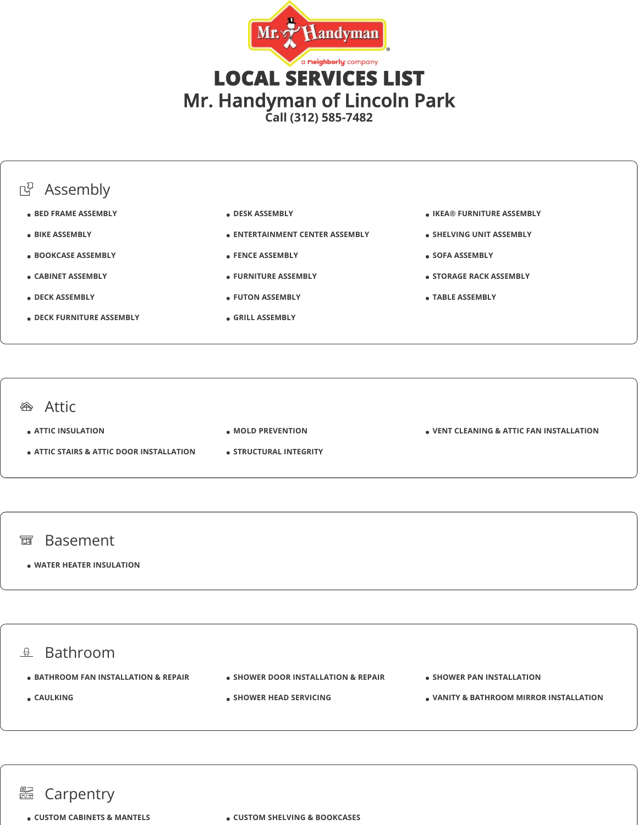





**ATTIC INSULATION**

- **ATTIC STAIRS & ATTIC DOOR INSTALLATION**
- **MOLD PREVENTION**
- **STRUCTURAL INTEGRITY**

**VENT CLEANING & ATTIC FAN INSTALLATION**

- 面 Basement
	- **WATER HEATER INSULATION**



## **■ Carpentry**

**CUSTOM CABINETS & MANTELS CUSTOM SHELVING & BOOKCASES**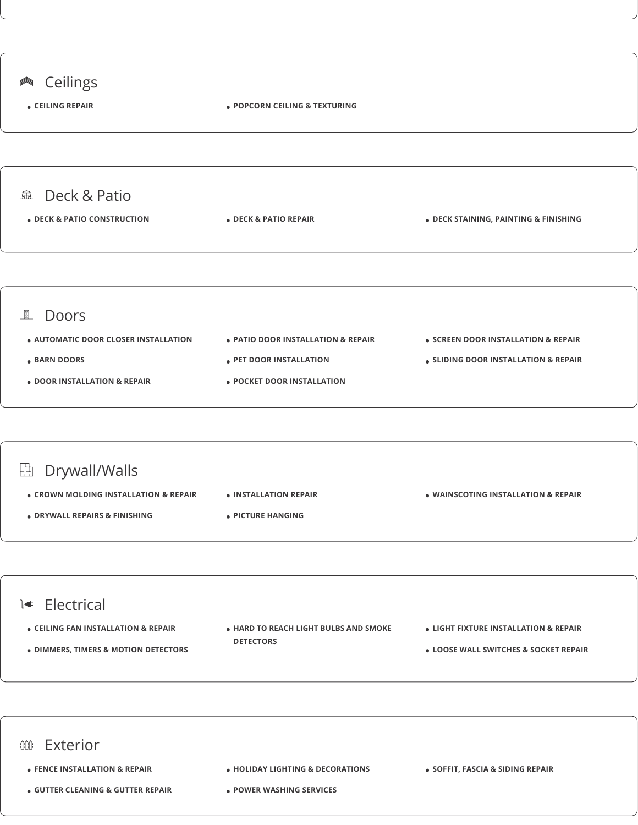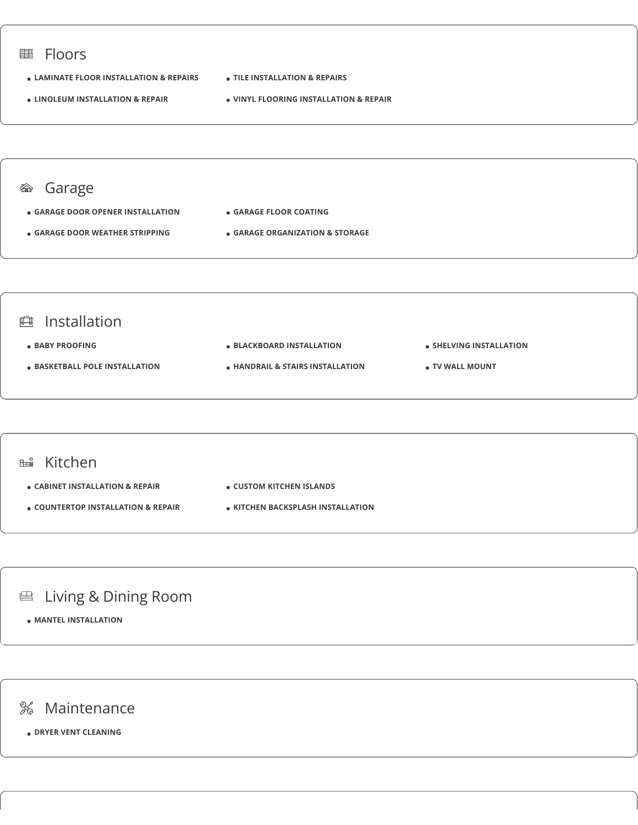

**DRYER VENT CLEANING**